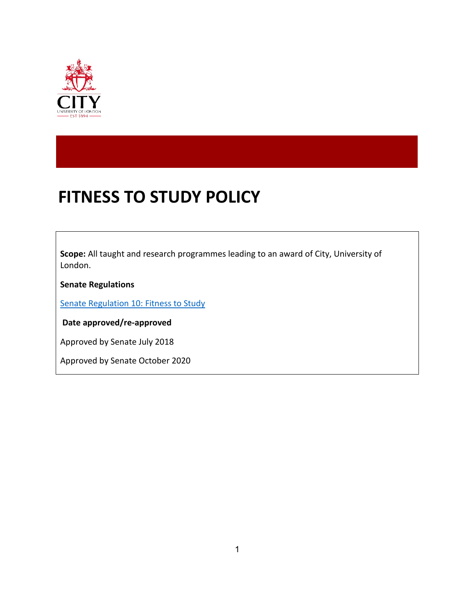

# **FITNESS TO STUDY POLICY**

**Scope:** All taught and research programmes leading to an award of City, University of London.

**Senate Regulations**

[Senate Regulation 10: Fitness to Study](https://www.city.ac.uk/__data/assets/pdf_file/0015/505212/Senate_Regulation_10_Fitness_to_Study_20191016.pdf)

**Date approved/re-approved**

Approved by Senate July 2018

Approved by Senate October 2020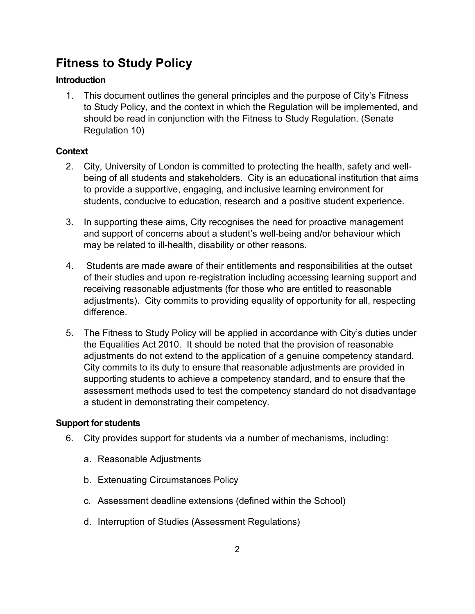# **Fitness to Study Policy**

# **Introduction**

1. This document outlines the general principles and the purpose of City's Fitness to Study Policy, and the context in which the Regulation will be implemented, and should be read in conjunction with the Fitness to Study Regulation. (Senate Regulation 10)

# **Context**

- 2. City, University of London is committed to protecting the health, safety and wellbeing of all students and stakeholders. City is an educational institution that aims to provide a supportive, engaging, and inclusive learning environment for students, conducive to education, research and a positive student experience.
- 3. In supporting these aims, City recognises the need for proactive management and support of concerns about a student's well-being and/or behaviour which may be related to ill-health, disability or other reasons.
- 4. Students are made aware of their entitlements and responsibilities at the outset of their studies and upon re-registration including accessing learning support and receiving reasonable adjustments (for those who are entitled to reasonable adjustments). City commits to providing equality of opportunity for all, respecting difference.
- 5. The Fitness to Study Policy will be applied in accordance with City's duties under the Equalities Act 2010. It should be noted that the provision of reasonable adjustments do not extend to the application of a genuine competency standard. City commits to its duty to ensure that reasonable adjustments are provided in supporting students to achieve a competency standard, and to ensure that the assessment methods used to test the competency standard do not disadvantage a student in demonstrating their competency.

# **Support for students**

- 6. City provides support for students via a number of mechanisms, including:
	- a. Reasonable Adjustments
	- b. Extenuating Circumstances Policy
	- c. Assessment deadline extensions (defined within the School)
	- d. Interruption of Studies (Assessment Regulations)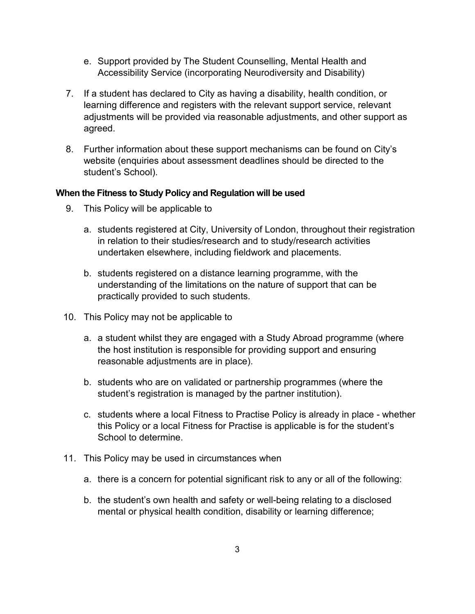- e. Support provided by The Student Counselling, Mental Health and Accessibility Service (incorporating Neurodiversity and Disability)
- 7. If a student has declared to City as having a disability, health condition, or learning difference and registers with the relevant support service, relevant adjustments will be provided via reasonable adjustments, and other support as agreed.
- 8. Further information about these support mechanisms can be found on City's website (enquiries about assessment deadlines should be directed to the student's School).

#### **When the Fitness to Study Policy and Regulation will be used**

- 9. This Policy will be applicable to
	- a. students registered at City, University of London, throughout their registration in relation to their studies/research and to study/research activities undertaken elsewhere, including fieldwork and placements.
	- b. students registered on a distance learning programme, with the understanding of the limitations on the nature of support that can be practically provided to such students.
- 10. This Policy may not be applicable to
	- a. a student whilst they are engaged with a Study Abroad programme (where the host institution is responsible for providing support and ensuring reasonable adjustments are in place).
	- b. students who are on validated or partnership programmes (where the student's registration is managed by the partner institution).
	- c. students where a local Fitness to Practise Policy is already in place whether this Policy or a local Fitness for Practise is applicable is for the student's School to determine.
- 11. This Policy may be used in circumstances when
	- a. there is a concern for potential significant risk to any or all of the following:
	- b. the student's own health and safety or well-being relating to a disclosed mental or physical health condition, disability or learning difference;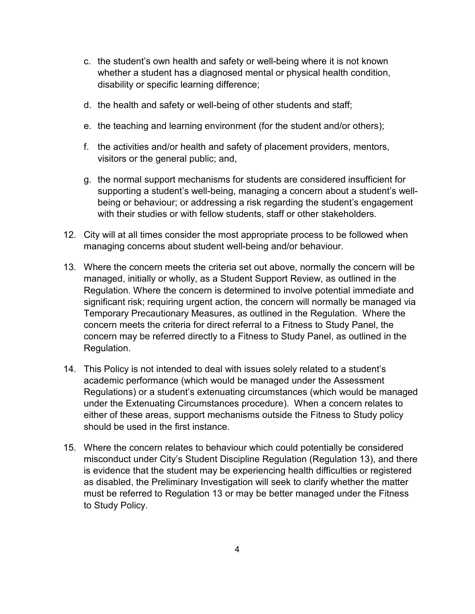- c. the student's own health and safety or well-being where it is not known whether a student has a diagnosed mental or physical health condition, disability or specific learning difference;
- d. the health and safety or well-being of other students and staff;
- e. the teaching and learning environment (for the student and/or others);
- f. the activities and/or health and safety of placement providers, mentors, visitors or the general public; and,
- g. the normal support mechanisms for students are considered insufficient for supporting a student's well-being, managing a concern about a student's wellbeing or behaviour; or addressing a risk regarding the student's engagement with their studies or with fellow students, staff or other stakeholders.
- 12. City will at all times consider the most appropriate process to be followed when managing concerns about student well-being and/or behaviour.
- 13. Where the concern meets the criteria set out above, normally the concern will be managed, initially or wholly, as a Student Support Review, as outlined in the Regulation. Where the concern is determined to involve potential immediate and significant risk; requiring urgent action, the concern will normally be managed via Temporary Precautionary Measures, as outlined in the Regulation. Where the concern meets the criteria for direct referral to a Fitness to Study Panel, the concern may be referred directly to a Fitness to Study Panel, as outlined in the Regulation.
- 14. This Policy is not intended to deal with issues solely related to a student's academic performance (which would be managed under the Assessment Regulations) or a student's extenuating circumstances (which would be managed under the Extenuating Circumstances procedure). When a concern relates to either of these areas, support mechanisms outside the Fitness to Study policy should be used in the first instance.
- 15. Where the concern relates to behaviour which could potentially be considered misconduct under City's Student Discipline Regulation (Regulation 13), and there is evidence that the student may be experiencing health difficulties or registered as disabled, the Preliminary Investigation will seek to clarify whether the matter must be referred to Regulation 13 or may be better managed under the Fitness to Study Policy.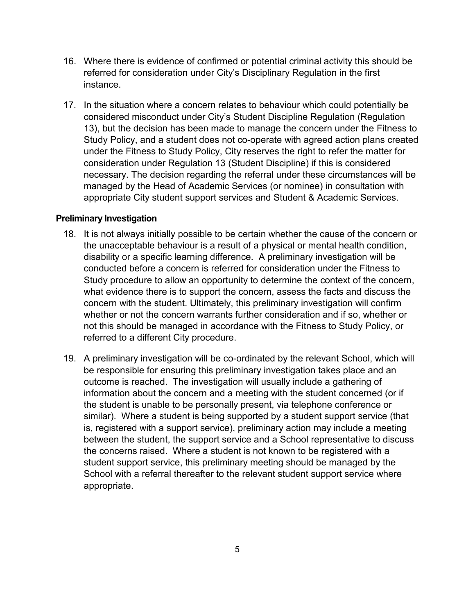- 16. Where there is evidence of confirmed or potential criminal activity this should be referred for consideration under City's Disciplinary Regulation in the first instance.
- 17. In the situation where a concern relates to behaviour which could potentially be considered misconduct under City's Student Discipline Regulation (Regulation 13), but the decision has been made to manage the concern under the Fitness to Study Policy, and a student does not co-operate with agreed action plans created under the Fitness to Study Policy, City reserves the right to refer the matter for consideration under Regulation 13 (Student Discipline) if this is considered necessary. The decision regarding the referral under these circumstances will be managed by the Head of Academic Services (or nominee) in consultation with appropriate City student support services and Student & Academic Services.

#### **Preliminary Investigation**

- 18. It is not always initially possible to be certain whether the cause of the concern or the unacceptable behaviour is a result of a physical or mental health condition, disability or a specific learning difference. A preliminary investigation will be conducted before a concern is referred for consideration under the Fitness to Study procedure to allow an opportunity to determine the context of the concern, what evidence there is to support the concern, assess the facts and discuss the concern with the student. Ultimately, this preliminary investigation will confirm whether or not the concern warrants further consideration and if so, whether or not this should be managed in accordance with the Fitness to Study Policy, or referred to a different City procedure.
- 19. A preliminary investigation will be co-ordinated by the relevant School, which will be responsible for ensuring this preliminary investigation takes place and an outcome is reached. The investigation will usually include a gathering of information about the concern and a meeting with the student concerned (or if the student is unable to be personally present, via telephone conference or similar). Where a student is being supported by a student support service (that is, registered with a support service), preliminary action may include a meeting between the student, the support service and a School representative to discuss the concerns raised. Where a student is not known to be registered with a student support service, this preliminary meeting should be managed by the School with a referral thereafter to the relevant student support service where appropriate.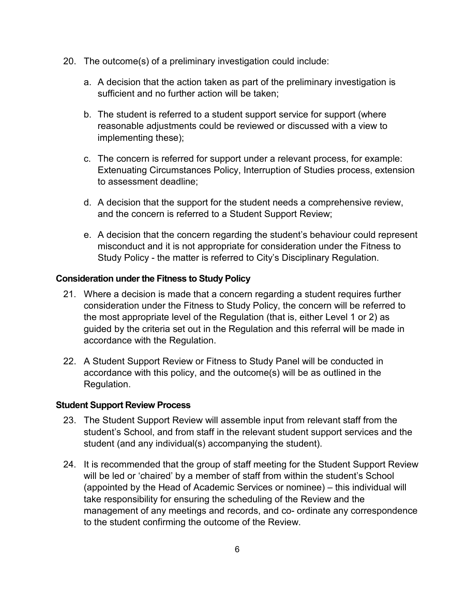- 20. The outcome(s) of a preliminary investigation could include:
	- a. A decision that the action taken as part of the preliminary investigation is sufficient and no further action will be taken;
	- b. The student is referred to a student support service for support (where reasonable adjustments could be reviewed or discussed with a view to implementing these);
	- c. The concern is referred for support under a relevant process, for example: Extenuating Circumstances Policy, Interruption of Studies process, extension to assessment deadline;
	- d. A decision that the support for the student needs a comprehensive review, and the concern is referred to a Student Support Review;
	- e. A decision that the concern regarding the student's behaviour could represent misconduct and it is not appropriate for consideration under the Fitness to Study Policy - the matter is referred to City's Disciplinary Regulation.

#### **Consideration under the Fitness to Study Policy**

- 21. Where a decision is made that a concern regarding a student requires further consideration under the Fitness to Study Policy, the concern will be referred to the most appropriate level of the Regulation (that is, either Level 1 or 2) as guided by the criteria set out in the Regulation and this referral will be made in accordance with the Regulation.
- 22. A Student Support Review or Fitness to Study Panel will be conducted in accordance with this policy, and the outcome(s) will be as outlined in the Regulation.

#### **Student Support Review Process**

- 23. The Student Support Review will assemble input from relevant staff from the student's School, and from staff in the relevant student support services and the student (and any individual(s) accompanying the student).
- 24. It is recommended that the group of staff meeting for the Student Support Review will be led or 'chaired' by a member of staff from within the student's School (appointed by the Head of Academic Services or nominee) – this individual will take responsibility for ensuring the scheduling of the Review and the management of any meetings and records, and co- ordinate any correspondence to the student confirming the outcome of the Review.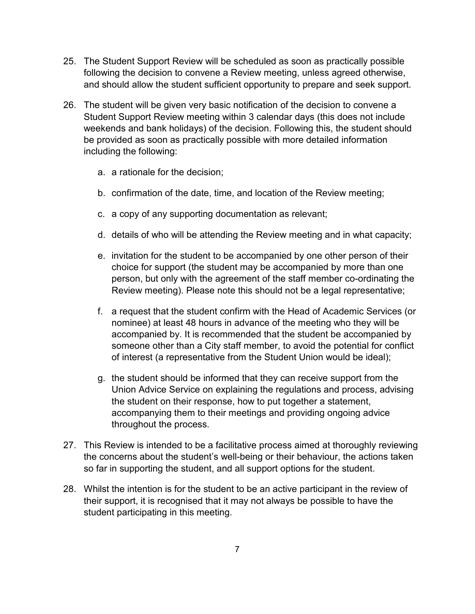- 25. The Student Support Review will be scheduled as soon as practically possible following the decision to convene a Review meeting, unless agreed otherwise, and should allow the student sufficient opportunity to prepare and seek support.
- 26. The student will be given very basic notification of the decision to convene a Student Support Review meeting within 3 calendar days (this does not include weekends and bank holidays) of the decision. Following this, the student should be provided as soon as practically possible with more detailed information including the following:
	- a. a rationale for the decision;
	- b. confirmation of the date, time, and location of the Review meeting;
	- c. a copy of any supporting documentation as relevant;
	- d. details of who will be attending the Review meeting and in what capacity;
	- e. invitation for the student to be accompanied by one other person of their choice for support (the student may be accompanied by more than one person, but only with the agreement of the staff member co-ordinating the Review meeting). Please note this should not be a legal representative;
	- f. a request that the student confirm with the Head of Academic Services (or nominee) at least 48 hours in advance of the meeting who they will be accompanied by. It is recommended that the student be accompanied by someone other than a City staff member, to avoid the potential for conflict of interest (a representative from the Student Union would be ideal);
	- g. the student should be informed that they can receive support from the Union Advice Service on explaining the regulations and process, advising the student on their response, how to put together a statement, accompanying them to their meetings and providing ongoing advice throughout the process.
- 27. This Review is intended to be a facilitative process aimed at thoroughly reviewing the concerns about the student's well-being or their behaviour, the actions taken so far in supporting the student, and all support options for the student.
- 28. Whilst the intention is for the student to be an active participant in the review of their support, it is recognised that it may not always be possible to have the student participating in this meeting.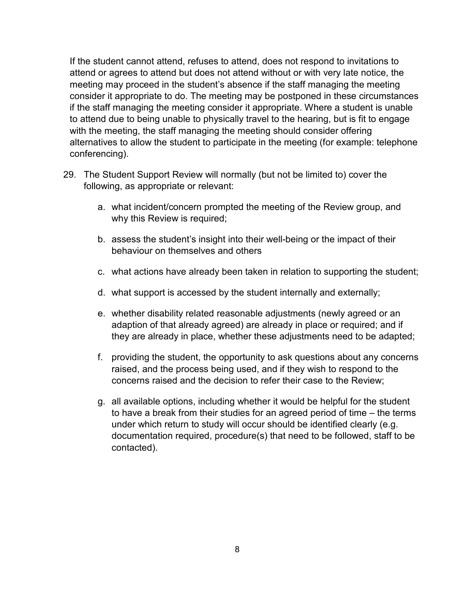If the student cannot attend, refuses to attend, does not respond to invitations to attend or agrees to attend but does not attend without or with very late notice, the meeting may proceed in the student's absence if the staff managing the meeting consider it appropriate to do. The meeting may be postponed in these circumstances if the staff managing the meeting consider it appropriate. Where a student is unable to attend due to being unable to physically travel to the hearing, but is fit to engage with the meeting, the staff managing the meeting should consider offering alternatives to allow the student to participate in the meeting (for example: telephone conferencing).

- 29. The Student Support Review will normally (but not be limited to) cover the following, as appropriate or relevant:
	- a. what incident/concern prompted the meeting of the Review group, and why this Review is required;
	- b. assess the student's insight into their well-being or the impact of their behaviour on themselves and others
	- c. what actions have already been taken in relation to supporting the student;
	- d. what support is accessed by the student internally and externally;
	- e. whether disability related reasonable adjustments (newly agreed or an adaption of that already agreed) are already in place or required; and if they are already in place, whether these adjustments need to be adapted;
	- f. providing the student, the opportunity to ask questions about any concerns raised, and the process being used, and if they wish to respond to the concerns raised and the decision to refer their case to the Review;
	- g. all available options, including whether it would be helpful for the student to have a break from their studies for an agreed period of time – the terms under which return to study will occur should be identified clearly (e.g. documentation required, procedure(s) that need to be followed, staff to be contacted).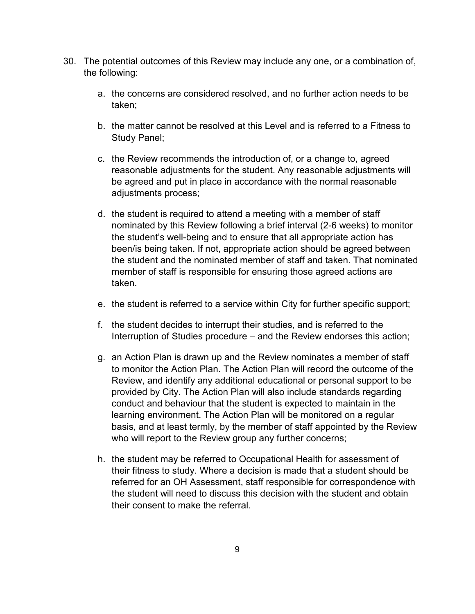- 30. The potential outcomes of this Review may include any one, or a combination of, the following:
	- a. the concerns are considered resolved, and no further action needs to be taken;
	- b. the matter cannot be resolved at this Level and is referred to a Fitness to Study Panel;
	- c. the Review recommends the introduction of, or a change to, agreed reasonable adjustments for the student. Any reasonable adjustments will be agreed and put in place in accordance with the normal reasonable adjustments process;
	- d. the student is required to attend a meeting with a member of staff nominated by this Review following a brief interval (2-6 weeks) to monitor the student's well-being and to ensure that all appropriate action has been/is being taken. If not, appropriate action should be agreed between the student and the nominated member of staff and taken. That nominated member of staff is responsible for ensuring those agreed actions are taken.
	- e. the student is referred to a service within City for further specific support;
	- f. the student decides to interrupt their studies, and is referred to the Interruption of Studies procedure – and the Review endorses this action;
	- g. an Action Plan is drawn up and the Review nominates a member of staff to monitor the Action Plan. The Action Plan will record the outcome of the Review, and identify any additional educational or personal support to be provided by City. The Action Plan will also include standards regarding conduct and behaviour that the student is expected to maintain in the learning environment. The Action Plan will be monitored on a regular basis, and at least termly, by the member of staff appointed by the Review who will report to the Review group any further concerns;
	- h. the student may be referred to Occupational Health for assessment of their fitness to study. Where a decision is made that a student should be referred for an OH Assessment, staff responsible for correspondence with the student will need to discuss this decision with the student and obtain their consent to make the referral.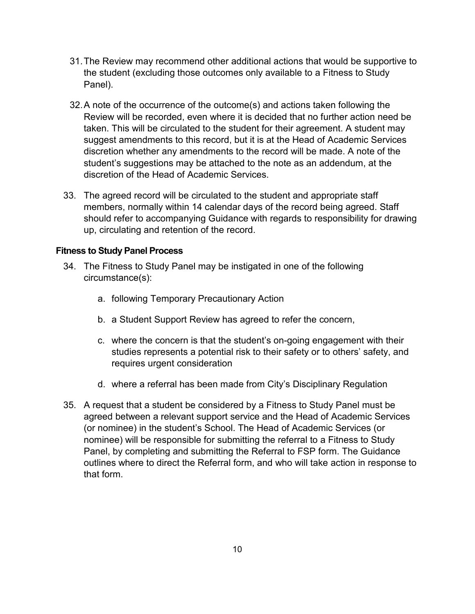- 31.The Review may recommend other additional actions that would be supportive to the student (excluding those outcomes only available to a Fitness to Study Panel).
- 32.A note of the occurrence of the outcome(s) and actions taken following the Review will be recorded, even where it is decided that no further action need be taken. This will be circulated to the student for their agreement. A student may suggest amendments to this record, but it is at the Head of Academic Services discretion whether any amendments to the record will be made. A note of the student's suggestions may be attached to the note as an addendum, at the discretion of the Head of Academic Services.
- 33. The agreed record will be circulated to the student and appropriate staff members, normally within 14 calendar days of the record being agreed. Staff should refer to accompanying Guidance with regards to responsibility for drawing up, circulating and retention of the record.

#### **Fitness to Study Panel Process**

- 34. The Fitness to Study Panel may be instigated in one of the following circumstance(s):
	- a. following Temporary Precautionary Action
	- b. a Student Support Review has agreed to refer the concern,
	- c. where the concern is that the student's on-going engagement with their studies represents a potential risk to their safety or to others' safety, and requires urgent consideration
	- d. where a referral has been made from City's Disciplinary Regulation
- 35. A request that a student be considered by a Fitness to Study Panel must be agreed between a relevant support service and the Head of Academic Services (or nominee) in the student's School. The Head of Academic Services (or nominee) will be responsible for submitting the referral to a Fitness to Study Panel, by completing and submitting the Referral to FSP form. The Guidance outlines where to direct the Referral form, and who will take action in response to that form.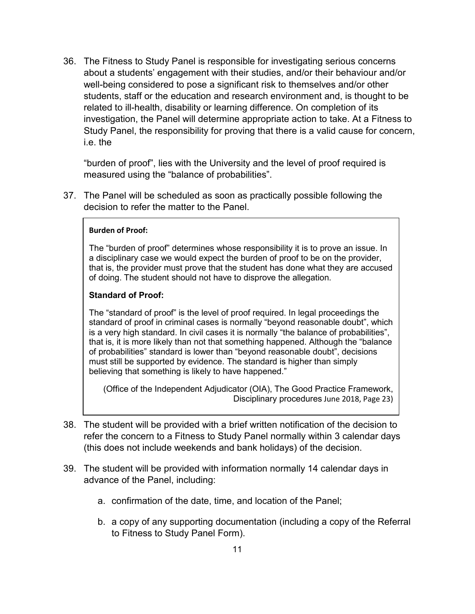36. The Fitness to Study Panel is responsible for investigating serious concerns about a students' engagement with their studies, and/or their behaviour and/or well-being considered to pose a significant risk to themselves and/or other students, staff or the education and research environment and, is thought to be related to ill-health, disability or learning difference. On completion of its investigation, the Panel will determine appropriate action to take. At a Fitness to Study Panel, the responsibility for proving that there is a valid cause for concern, i.e. the

"burden of proof", lies with the University and the level of proof required is measured using the "balance of probabilities".

37. The Panel will be scheduled as soon as practically possible following the decision to refer the matter to the Panel.

#### **Burden of Proof:**

The "burden of proof" determines whose responsibility it is to prove an issue. In a disciplinary case we would expect the burden of proof to be on the provider, that is, the provider must prove that the student has done what they are accused of doing. The student should not have to disprove the allegation.

#### **Standard of Proof:**

The "standard of proof" is the level of proof required. In legal proceedings the standard of proof in criminal cases is normally "beyond reasonable doubt", which is a very high standard. In civil cases it is normally "the balance of probabilities", that is, it is more likely than not that something happened. Although the "balance of probabilities" standard is lower than "beyond reasonable doubt", decisions must still be supported by evidence. The standard is higher than simply believing that something is likely to have happened."

(Office of the Independent Adjudicator (OIA), The Good Practice Framework, Disciplinary procedures June 2018, Page 23)

- 38. The student will be provided with a brief written notification of the decision to refer the concern to a Fitness to Study Panel normally within 3 calendar days (this does not include weekends and bank holidays) of the decision.
- 39. The student will be provided with information normally 14 calendar days in advance of the Panel, including:
	- a. confirmation of the date, time, and location of the Panel;
	- b. a copy of any supporting documentation (including a copy of the Referral to Fitness to Study Panel Form).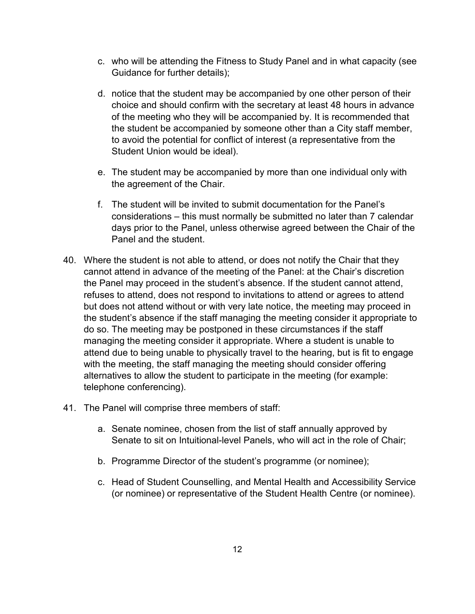- c. who will be attending the Fitness to Study Panel and in what capacity (see Guidance for further details);
- d. notice that the student may be accompanied by one other person of their choice and should confirm with the secretary at least 48 hours in advance of the meeting who they will be accompanied by. It is recommended that the student be accompanied by someone other than a City staff member, to avoid the potential for conflict of interest (a representative from the Student Union would be ideal).
- e. The student may be accompanied by more than one individual only with the agreement of the Chair.
- f. The student will be invited to submit documentation for the Panel's considerations – this must normally be submitted no later than 7 calendar days prior to the Panel, unless otherwise agreed between the Chair of the Panel and the student.
- 40. Where the student is not able to attend, or does not notify the Chair that they cannot attend in advance of the meeting of the Panel: at the Chair's discretion the Panel may proceed in the student's absence. If the student cannot attend, refuses to attend, does not respond to invitations to attend or agrees to attend but does not attend without or with very late notice, the meeting may proceed in the student's absence if the staff managing the meeting consider it appropriate to do so. The meeting may be postponed in these circumstances if the staff managing the meeting consider it appropriate. Where a student is unable to attend due to being unable to physically travel to the hearing, but is fit to engage with the meeting, the staff managing the meeting should consider offering alternatives to allow the student to participate in the meeting (for example: telephone conferencing).
- 41. The Panel will comprise three members of staff:
	- a. Senate nominee, chosen from the list of staff annually approved by Senate to sit on Intuitional-level Panels, who will act in the role of Chair;
	- b. Programme Director of the student's programme (or nominee);
	- c. Head of Student Counselling, and Mental Health and Accessibility Service (or nominee) or representative of the Student Health Centre (or nominee).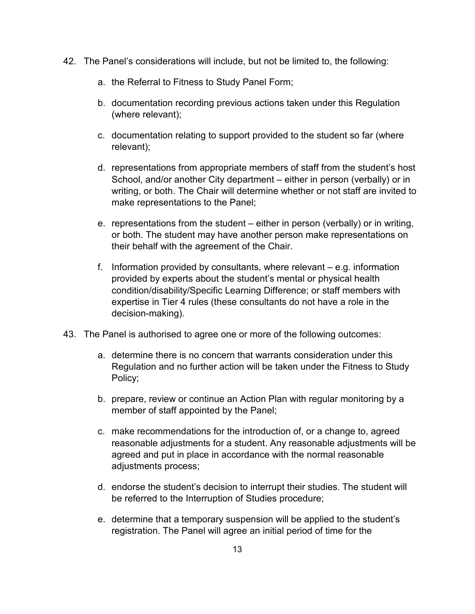- 42. The Panel's considerations will include, but not be limited to, the following:
	- a. the Referral to Fitness to Study Panel Form;
	- b. documentation recording previous actions taken under this Regulation (where relevant);
	- c. documentation relating to support provided to the student so far (where relevant);
	- d. representations from appropriate members of staff from the student's host School, and/or another City department – either in person (verbally) or in writing, or both. The Chair will determine whether or not staff are invited to make representations to the Panel;
	- e. representations from the student either in person (verbally) or in writing, or both. The student may have another person make representations on their behalf with the agreement of the Chair.
	- f. Information provided by consultants, where relevant e.g. information provided by experts about the student's mental or physical health condition/disability/Specific Learning Difference; or staff members with expertise in Tier 4 rules (these consultants do not have a role in the decision-making).
- 43. The Panel is authorised to agree one or more of the following outcomes:
	- a. determine there is no concern that warrants consideration under this Regulation and no further action will be taken under the Fitness to Study Policy;
	- b. prepare, review or continue an Action Plan with regular monitoring by a member of staff appointed by the Panel;
	- c. make recommendations for the introduction of, or a change to, agreed reasonable adjustments for a student. Any reasonable adjustments will be agreed and put in place in accordance with the normal reasonable adjustments process;
	- d. endorse the student's decision to interrupt their studies. The student will be referred to the Interruption of Studies procedure;
	- e. determine that a temporary suspension will be applied to the student's registration. The Panel will agree an initial period of time for the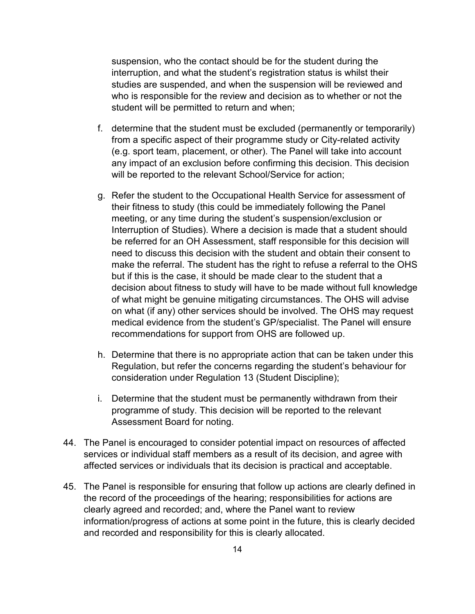suspension, who the contact should be for the student during the interruption, and what the student's registration status is whilst their studies are suspended, and when the suspension will be reviewed and who is responsible for the review and decision as to whether or not the student will be permitted to return and when;

- f. determine that the student must be excluded (permanently or temporarily) from a specific aspect of their programme study or City-related activity (e.g. sport team, placement, or other). The Panel will take into account any impact of an exclusion before confirming this decision. This decision will be reported to the relevant School/Service for action;
- g. Refer the student to the Occupational Health Service for assessment of their fitness to study (this could be immediately following the Panel meeting, or any time during the student's suspension/exclusion or Interruption of Studies). Where a decision is made that a student should be referred for an OH Assessment, staff responsible for this decision will need to discuss this decision with the student and obtain their consent to make the referral. The student has the right to refuse a referral to the OHS but if this is the case, it should be made clear to the student that a decision about fitness to study will have to be made without full knowledge of what might be genuine mitigating circumstances. The OHS will advise on what (if any) other services should be involved. The OHS may request medical evidence from the student's GP/specialist. The Panel will ensure recommendations for support from OHS are followed up.
- h. Determine that there is no appropriate action that can be taken under this Regulation, but refer the concerns regarding the student's behaviour for consideration under Regulation 13 (Student Discipline);
- i. Determine that the student must be permanently withdrawn from their programme of study. This decision will be reported to the relevant Assessment Board for noting.
- 44. The Panel is encouraged to consider potential impact on resources of affected services or individual staff members as a result of its decision, and agree with affected services or individuals that its decision is practical and acceptable.
- 45. The Panel is responsible for ensuring that follow up actions are clearly defined in the record of the proceedings of the hearing; responsibilities for actions are clearly agreed and recorded; and, where the Panel want to review information/progress of actions at some point in the future, this is clearly decided and recorded and responsibility for this is clearly allocated.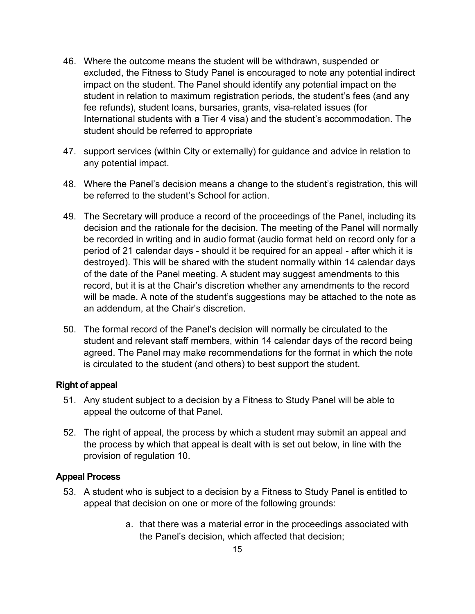- 46. Where the outcome means the student will be withdrawn, suspended or excluded, the Fitness to Study Panel is encouraged to note any potential indirect impact on the student. The Panel should identify any potential impact on the student in relation to maximum registration periods, the student's fees (and any fee refunds), student loans, bursaries, grants, visa-related issues (for International students with a Tier 4 visa) and the student's accommodation. The student should be referred to appropriate
- 47. support services (within City or externally) for guidance and advice in relation to any potential impact.
- 48. Where the Panel's decision means a change to the student's registration, this will be referred to the student's School for action.
- 49. The Secretary will produce a record of the proceedings of the Panel, including its decision and the rationale for the decision. The meeting of the Panel will normally be recorded in writing and in audio format (audio format held on record only for a period of 21 calendar days - should it be required for an appeal - after which it is destroyed). This will be shared with the student normally within 14 calendar days of the date of the Panel meeting. A student may suggest amendments to this record, but it is at the Chair's discretion whether any amendments to the record will be made. A note of the student's suggestions may be attached to the note as an addendum, at the Chair's discretion.
- 50. The formal record of the Panel's decision will normally be circulated to the student and relevant staff members, within 14 calendar days of the record being agreed. The Panel may make recommendations for the format in which the note is circulated to the student (and others) to best support the student.

#### **Right of appeal**

- 51. Any student subject to a decision by a Fitness to Study Panel will be able to appeal the outcome of that Panel.
- 52. The right of appeal, the process by which a student may submit an appeal and the process by which that appeal is dealt with is set out below, in line with the provision of regulation 10.

### **Appeal Process**

- 53. A student who is subject to a decision by a Fitness to Study Panel is entitled to appeal that decision on one or more of the following grounds:
	- a. that there was a material error in the proceedings associated with the Panel's decision, which affected that decision;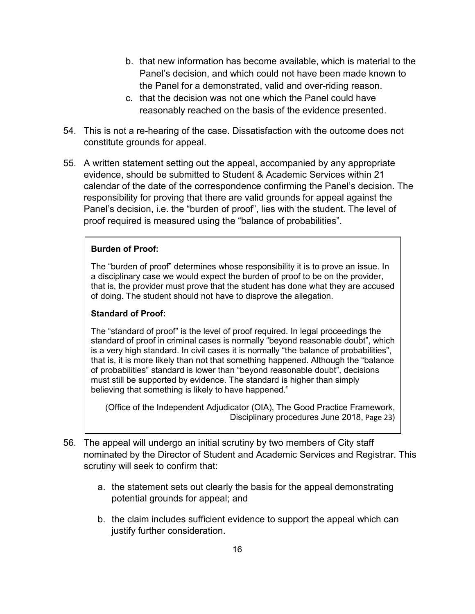- b. that new information has become available, which is material to the Panel's decision, and which could not have been made known to the Panel for a demonstrated, valid and over-riding reason.
- c. that the decision was not one which the Panel could have reasonably reached on the basis of the evidence presented.
- 54. This is not a re-hearing of the case. Dissatisfaction with the outcome does not constitute grounds for appeal.
- 55. A written statement setting out the appeal, accompanied by any appropriate evidence, should be submitted to Student & Academic Services within 21 calendar of the date of the correspondence confirming the Panel's decision. The responsibility for proving that there are valid grounds for appeal against the Panel's decision, i.e. the "burden of proof", lies with the student. The level of proof required is measured using the "balance of probabilities".

#### **Burden of Proof:**

The "burden of proof" determines whose responsibility it is to prove an issue. In a disciplinary case we would expect the burden of proof to be on the provider, that is, the provider must prove that the student has done what they are accused of doing. The student should not have to disprove the allegation.

#### **Standard of Proof:**

The "standard of proof" is the level of proof required. In legal proceedings the standard of proof in criminal cases is normally "beyond reasonable doubt", which is a very high standard. In civil cases it is normally "the balance of probabilities", that is, it is more likely than not that something happened. Although the "balance of probabilities" standard is lower than "beyond reasonable doubt", decisions must still be supported by evidence. The standard is higher than simply believing that something is likely to have happened."

(Office of the Independent Adjudicator (OIA), The Good Practice Framework, Disciplinary procedures June 2018, Page 23)

- 56. The appeal will undergo an initial scrutiny by two members of City staff nominated by the Director of Student and Academic Services and Registrar. This scrutiny will seek to confirm that:
	- a. the statement sets out clearly the basis for the appeal demonstrating potential grounds for appeal; and
	- b. the claim includes sufficient evidence to support the appeal which can justify further consideration.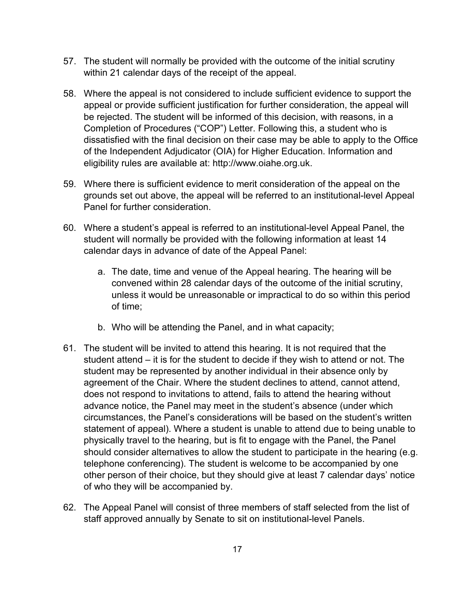- 57. The student will normally be provided with the outcome of the initial scrutiny within 21 calendar days of the receipt of the appeal.
- 58. Where the appeal is not considered to include sufficient evidence to support the appeal or provide sufficient justification for further consideration, the appeal will be rejected. The student will be informed of this decision, with reasons, in a Completion of Procedures ("COP") Letter. Following this, a student who is dissatisfied with the final decision on their case may be able to apply to the Office of the Independent Adjudicator (OIA) for Higher Education. Information and eligibility rules are available at: http://www.oiahe.org.uk.
- 59. Where there is sufficient evidence to merit consideration of the appeal on the grounds set out above, the appeal will be referred to an institutional-level Appeal Panel for further consideration.
- 60. Where a student's appeal is referred to an institutional-level Appeal Panel, the student will normally be provided with the following information at least 14 calendar days in advance of date of the Appeal Panel:
	- a. The date, time and venue of the Appeal hearing. The hearing will be convened within 28 calendar days of the outcome of the initial scrutiny, unless it would be unreasonable or impractical to do so within this period of time;
	- b. Who will be attending the Panel, and in what capacity;
- 61. The student will be invited to attend this hearing. It is not required that the student attend – it is for the student to decide if they wish to attend or not. The student may be represented by another individual in their absence only by agreement of the Chair. Where the student declines to attend, cannot attend, does not respond to invitations to attend, fails to attend the hearing without advance notice, the Panel may meet in the student's absence (under which circumstances, the Panel's considerations will be based on the student's written statement of appeal). Where a student is unable to attend due to being unable to physically travel to the hearing, but is fit to engage with the Panel, the Panel should consider alternatives to allow the student to participate in the hearing (e.g. telephone conferencing). The student is welcome to be accompanied by one other person of their choice, but they should give at least 7 calendar days' notice of who they will be accompanied by.
- 62. The Appeal Panel will consist of three members of staff selected from the list of staff approved annually by Senate to sit on institutional-level Panels.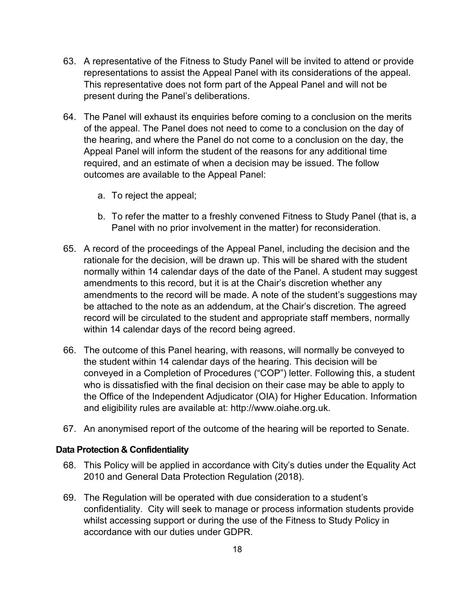- 63. A representative of the Fitness to Study Panel will be invited to attend or provide representations to assist the Appeal Panel with its considerations of the appeal. This representative does not form part of the Appeal Panel and will not be present during the Panel's deliberations.
- 64. The Panel will exhaust its enquiries before coming to a conclusion on the merits of the appeal. The Panel does not need to come to a conclusion on the day of the hearing, and where the Panel do not come to a conclusion on the day, the Appeal Panel will inform the student of the reasons for any additional time required, and an estimate of when a decision may be issued. The follow outcomes are available to the Appeal Panel:
	- a. To reject the appeal;
	- b. To refer the matter to a freshly convened Fitness to Study Panel (that is, a Panel with no prior involvement in the matter) for reconsideration.
- 65. A record of the proceedings of the Appeal Panel, including the decision and the rationale for the decision, will be drawn up. This will be shared with the student normally within 14 calendar days of the date of the Panel. A student may suggest amendments to this record, but it is at the Chair's discretion whether any amendments to the record will be made. A note of the student's suggestions may be attached to the note as an addendum, at the Chair's discretion. The agreed record will be circulated to the student and appropriate staff members, normally within 14 calendar days of the record being agreed.
- 66. The outcome of this Panel hearing, with reasons, will normally be conveyed to the student within 14 calendar days of the hearing. This decision will be conveyed in a Completion of Procedures ("COP") letter. Following this, a student who is dissatisfied with the final decision on their case may be able to apply to the Office of the Independent Adjudicator (OIA) for Higher Education. Information and eligibility rules are available at: http://www.oiahe.org.uk.
- 67. An anonymised report of the outcome of the hearing will be reported to Senate.

#### **Data Protection & Confidentiality**

- 68. This Policy will be applied in accordance with City's duties under the Equality Act 2010 and General Data Protection Regulation (2018).
- 69. The Regulation will be operated with due consideration to a student's confidentiality. City will seek to manage or process information students provide whilst accessing support or during the use of the Fitness to Study Policy in accordance with our duties under GDPR.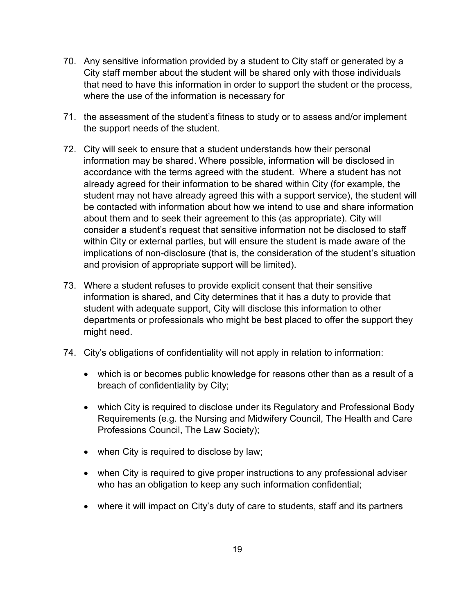- 70. Any sensitive information provided by a student to City staff or generated by a City staff member about the student will be shared only with those individuals that need to have this information in order to support the student or the process, where the use of the information is necessary for
- 71. the assessment of the student's fitness to study or to assess and/or implement the support needs of the student.
- 72. City will seek to ensure that a student understands how their personal information may be shared. Where possible, information will be disclosed in accordance with the terms agreed with the student. Where a student has not already agreed for their information to be shared within City (for example, the student may not have already agreed this with a support service), the student will be contacted with information about how we intend to use and share information about them and to seek their agreement to this (as appropriate). City will consider a student's request that sensitive information not be disclosed to staff within City or external parties, but will ensure the student is made aware of the implications of non-disclosure (that is, the consideration of the student's situation and provision of appropriate support will be limited).
- 73. Where a student refuses to provide explicit consent that their sensitive information is shared, and City determines that it has a duty to provide that student with adequate support, City will disclose this information to other departments or professionals who might be best placed to offer the support they might need.
- 74. City's obligations of confidentiality will not apply in relation to information:
	- which is or becomes public knowledge for reasons other than as a result of a breach of confidentiality by City;
	- which City is required to disclose under its Regulatory and Professional Body Requirements (e.g. the Nursing and Midwifery Council, The Health and Care Professions Council, The Law Society);
	- when City is required to disclose by law;
	- when City is required to give proper instructions to any professional adviser who has an obligation to keep any such information confidential;
	- where it will impact on City's duty of care to students, staff and its partners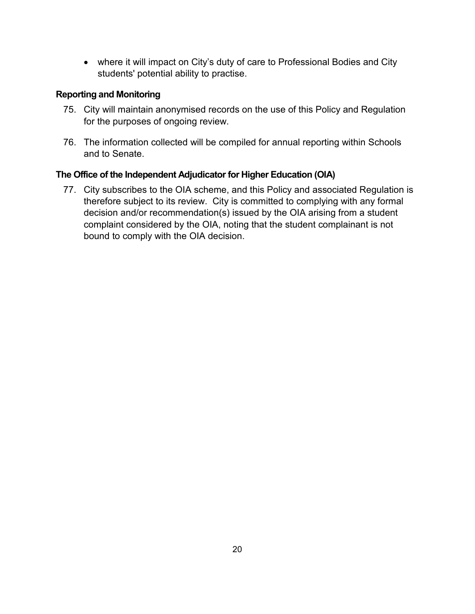• where it will impact on City's duty of care to Professional Bodies and City students' potential ability to practise.

## **Reporting and Monitoring**

- 75. City will maintain anonymised records on the use of this Policy and Regulation for the purposes of ongoing review.
- 76. The information collected will be compiled for annual reporting within Schools and to Senate.

### **The Office of the Independent Adjudicator for Higher Education (OIA)**

77. City subscribes to the OIA scheme, and this Policy and associated Regulation is therefore subject to its review. City is committed to complying with any formal decision and/or recommendation(s) issued by the OIA arising from a student complaint considered by the OIA, noting that the student complainant is not bound to comply with the OIA decision.